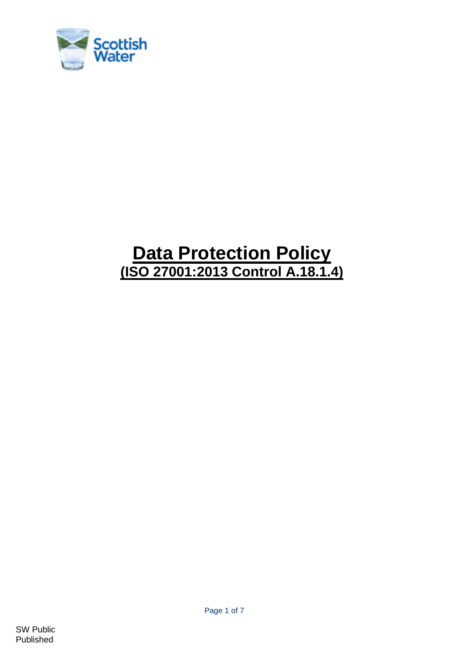

# **Data Protection Policy (ISO 27001:2013 Control A.18.1.4)**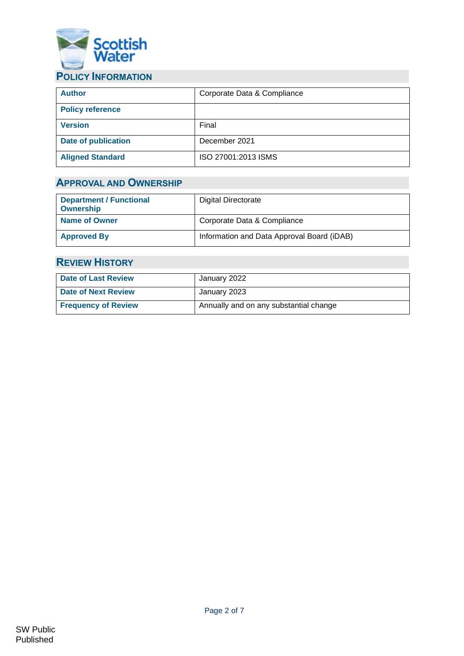

## <span id="page-1-0"></span>**POLICY INFORMATION**

| <b>Author</b>              | Corporate Data & Compliance |
|----------------------------|-----------------------------|
| <b>Policy reference</b>    |                             |
| <b>Version</b>             | Final                       |
| <b>Date of publication</b> | December 2021               |
| <b>Aligned Standard</b>    | ISO 27001:2013 ISMS         |

## <span id="page-1-1"></span>**APPROVAL AND OWNERSHIP**

| <b>Department / Functional</b><br><b>Ownership</b> | Digital Directorate                        |
|----------------------------------------------------|--------------------------------------------|
| <b>Name of Owner</b>                               | Corporate Data & Compliance                |
| <b>Approved By</b>                                 | Information and Data Approval Board (iDAB) |

## <span id="page-1-2"></span>**REVIEW HISTORY**

| <b>Date of Last Review</b> | January 2022                           |
|----------------------------|----------------------------------------|
| Date of Next Review        | January 2023                           |
| <b>Frequency of Review</b> | Annually and on any substantial change |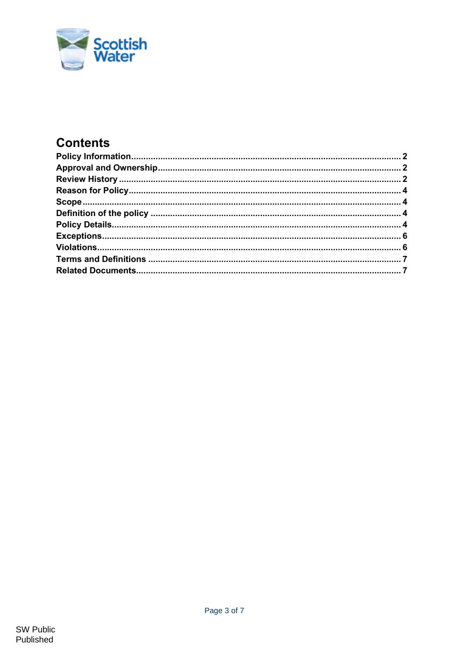

## **Contents**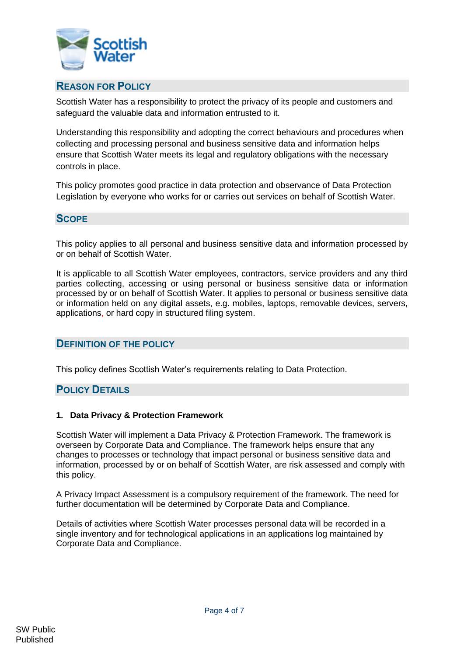

## <span id="page-3-0"></span>**REASON FOR POLICY**

Scottish Water has a responsibility to protect the privacy of its people and customers and safeguard the valuable data and information entrusted to it.

Understanding this responsibility and adopting the correct behaviours and procedures when collecting and processing personal and business sensitive data and information helps ensure that Scottish Water meets its legal and regulatory obligations with the necessary controls in place.

This policy promotes good practice in data protection and observance of Data Protection Legislation by everyone who works for or carries out services on behalf of Scottish Water.

#### <span id="page-3-1"></span>**SCOPE**

This policy applies to all personal and business sensitive data and information processed by or on behalf of Scottish Water.

It is applicable to all Scottish Water employees, contractors, service providers and any third parties collecting, accessing or using personal or business sensitive data or information processed by or on behalf of Scottish Water. It applies to personal or business sensitive data or information held on any digital assets, e.g. mobiles, laptops, removable devices, servers, applications, or hard copy in structured filing system.

#### <span id="page-3-2"></span>**DEFINITION OF THE POLICY**

This policy defines Scottish Water's requirements relating to Data Protection.

### <span id="page-3-3"></span>**POLICY DETAILS**

#### **1. Data Privacy & Protection Framework**

Scottish Water will implement a Data Privacy & Protection Framework. The framework is overseen by Corporate Data and Compliance. The framework helps ensure that any changes to processes or technology that impact personal or business sensitive data and information, processed by or on behalf of Scottish Water, are risk assessed and comply with this policy.

A Privacy Impact Assessment is a compulsory requirement of the framework. The need for further documentation will be determined by Corporate Data and Compliance.

Details of activities where Scottish Water processes personal data will be recorded in a single inventory and for technological applications in an applications log maintained by Corporate Data and Compliance.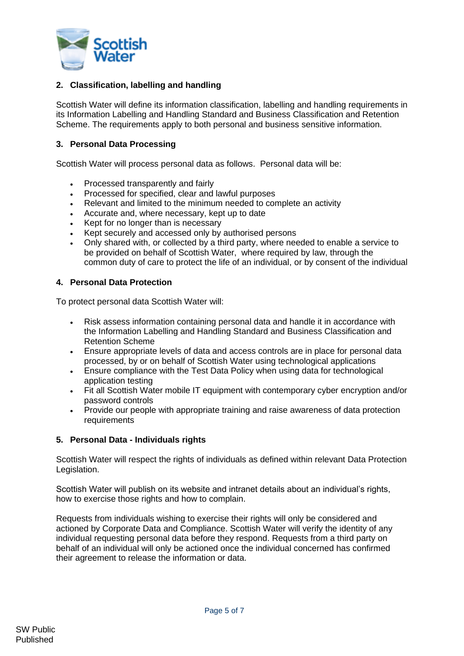

#### **2. Classification, labelling and handling**

Scottish Water will define its information classification, labelling and handling requirements in its Information Labelling and Handling Standard and Business Classification and Retention Scheme. The requirements apply to both personal and business sensitive information.

#### **3. Personal Data Processing**

Scottish Water will process personal data as follows. Personal data will be:

- Processed transparently and fairly
- Processed for specified, clear and lawful purposes
- Relevant and limited to the minimum needed to complete an activity
- Accurate and, where necessary, kept up to date
- Kept for no longer than is necessary
- Kept securely and accessed only by authorised persons
- Only shared with, or collected by a third party, where needed to enable a service to be provided on behalf of Scottish Water, where required by law, through the common duty of care to protect the life of an individual, or by consent of the individual

#### **4. Personal Data Protection**

To protect personal data Scottish Water will:

- Risk assess information containing personal data and handle it in accordance with the Information Labelling and Handling Standard and Business Classification and Retention Scheme
- Ensure appropriate levels of data and access controls are in place for personal data processed, by or on behalf of Scottish Water using technological applications
- Ensure compliance with the Test Data Policy when using data for technological application testing
- Fit all Scottish Water mobile IT equipment with contemporary cyber encryption and/or password controls
- Provide our people with appropriate training and raise awareness of data protection requirements

#### **5. Personal Data - Individuals rights**

Scottish Water will respect the rights of individuals as defined within relevant Data Protection Legislation.

Scottish Water will publish on its website and intranet details about an individual's rights, how to exercise those rights and how to complain.

Requests from individuals wishing to exercise their rights will only be considered and actioned by Corporate Data and Compliance. Scottish Water will verify the identity of any individual requesting personal data before they respond. Requests from a third party on behalf of an individual will only be actioned once the individual concerned has confirmed their agreement to release the information or data.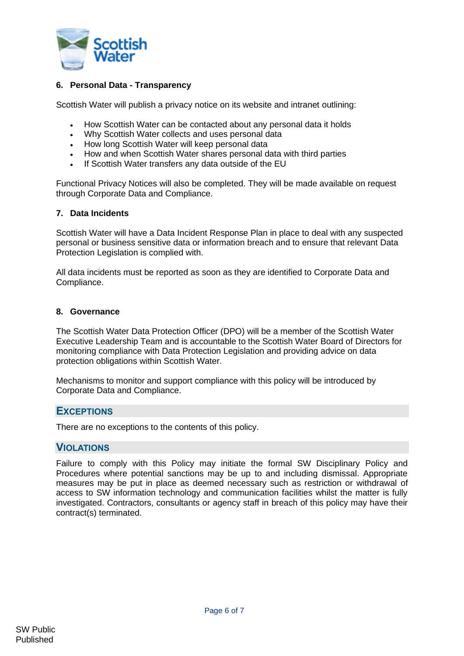

#### **6. Personal Data - Transparency**

Scottish Water will publish a privacy notice on its website and intranet outlining:

- How Scottish Water can be contacted about any personal data it holds
- Why Scottish Water collects and uses personal data
- How long Scottish Water will keep personal data
- How and when Scottish Water shares personal data with third parties
- If Scottish Water transfers any data outside of the EU

Functional Privacy Notices will also be completed. They will be made available on request through Corporate Data and Compliance.

#### **7. Data Incidents**

Scottish Water will have a Data Incident Response Plan in place to deal with any suspected personal or business sensitive data or information breach and to ensure that relevant Data Protection Legislation is complied with.

All data incidents must be reported as soon as they are identified to Corporate Data and Compliance.

#### **8. Governance**

The Scottish Water Data Protection Officer (DPO) will be a member of the Scottish Water Executive Leadership Team and is accountable to the Scottish Water Board of Directors for monitoring compliance with Data Protection Legislation and providing advice on data protection obligations within Scottish Water.

Mechanisms to monitor and support compliance with this policy will be introduced by Corporate Data and Compliance.

#### <span id="page-5-0"></span>**EXCEPTIONS**

<span id="page-5-1"></span>There are no exceptions to the contents of this policy.

#### **VIOLATIONS**

Failure to comply with this Policy may initiate the formal SW Disciplinary Policy and Procedures where potential sanctions may be up to and including dismissal. Appropriate measures may be put in place as deemed necessary such as restriction or withdrawal of access to SW information technology and communication facilities whilst the matter is fully investigated. Contractors, consultants or agency staff in breach of this policy may have their contract(s) terminated.